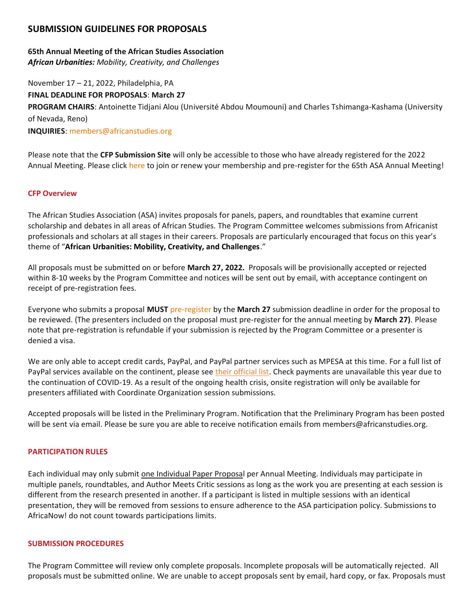# **SUBMISSION GUIDELINES FOR PROPOSALS**

# **65th Annual Meeting of the African Studies Association** *African Urbanities: Mobility, Creativity, and Challenges*

November 17 – 21, 2022, Philadelphia, PA **FINAL DEADLINE FOR PROPOSALS**: **March 27 PROGRAM CHAIRS**: Antoinette Tidjani Alou (Université Abdou Moumouni) and Charles Tshimanga-Kashama (University of Nevada, Reno) **INQUIRIES**: [members@africanstudies.org](mailto:members@africanstudies.org)

Please note that the **CFP Submission Site** will only be accessible to those who have already registered for the 2022 Annual Meeting. Please click [here](https://myasa.africanstudies.org/login) to join or renew your membership and pre-register for the 65th ASA Annual Meeting!

## **CFP Overview**

The African Studies Association (ASA) invites proposals for panels, papers, and roundtables that examine current scholarship and debates in all areas of African Studies. The Program Committee welcomes submissions from Africanist professionals and scholars at all stages in their careers. Proposals are particularly encouraged that focus on this year's theme of "**African Urbanities: Mobility, Creativity, and Challenges**."

All proposals must be submitted on or before **March 27, 2022.** Proposals will be provisionally accepted or rejected within 8-10 weeks by the Program Committee and notices will be sent out by email, with acceptance contingent on receipt of pre-registration fees.

Everyone who submits a proposal **MUST** [pre-register](https://myasa.africanstudies.org/) by the **March 27** submission deadline in order for the proposal to be reviewed. (The presenters included on the proposal must pre-register for the annual meeting by **March 27)**. Please note that pre-registration is refundable if your submission is rejected by the Program Committee or a presenter is denied a visa.

We are only able to accept credit cards, PayPal, and PayPal partner services such as MPESA at this time. For a full list of PayPal services available on the continent, please see [their official list.](https://www.paypal.com/us/webapps/mpp/country-worldwide) Check payments are unavailable this year due to the continuation of COVID-19. As a result of the ongoing health crisis, onsite registration will only be available for presenters affiliated with Coordinate Organization session submissions.

Accepted proposals will be listed in the Preliminary Program. Notification that the Preliminary Program has been posted will be sent via email. Please be sure you are able to receive notification emails from members@africanstudies.org.

## **PARTICIPATION RULES**

Each individual may only submit one Individual Paper Proposal per Annual Meeting. Individuals may participate in multiple panels, roundtables, and Author Meets Critic sessions as long as the work you are presenting at each session is different from the research presented in another. If a participant is listed in multiple sessions with an identical presentation, they will be removed from sessions to ensure adherence to the ASA participation policy. Submissions to AfricaNow! do not count towards participations limits.

#### **SUBMISSION PROCEDURES**

The Program Committee will review only complete proposals. Incomplete proposals will be automatically rejected. All proposals must be submitted online. We are unable to accept proposals sent by email, hard copy, or fax. Proposals must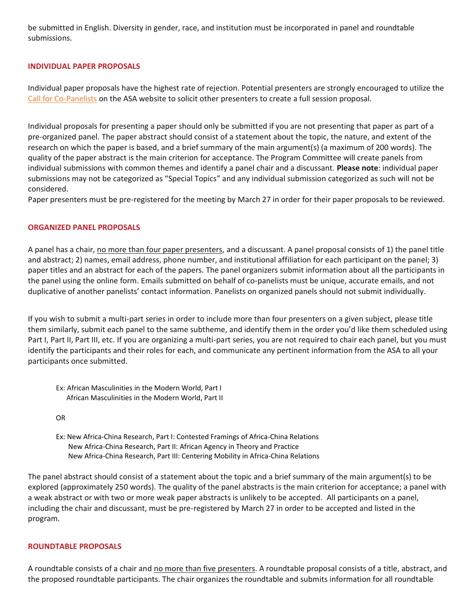be submitted in English. Diversity in gender, race, and institution must be incorporated in panel and roundtable submissions.

# **INDIVIDUAL PAPER PROPOSALS**

Individual paper proposals have the highest rate of rejection. Potential presenters are strongly encouraged to utilize the [Call for Co-Panelists](https://africanstudies.org/annual-meetings/your-call-for-co-panelists/) on the ASA website to solicit other presenters to create a full session proposal.

Individual proposals for presenting a paper should only be submitted if you are not presenting that paper as part of a pre-organized panel. The paper abstract should consist of a statement about the topic, the nature, and extent of the research on which the paper is based, and a brief summary of the main argument(s) (a maximum of 200 words). The quality of the paper abstract is the main criterion for acceptance. The Program Committee will create panels from individual submissions with common themes and identify a panel chair and a discussant. **Please note**: individual paper submissions may not be categorized as "Special Topics" and any individual submission categorized as such will not be considered.

Paper presenters must be pre-registered for the meeting by March 27 in order for their paper proposals to be reviewed.

## **ORGANIZED PANEL PROPOSALS**

A panel has a chair, no more than four paper presenters, and a discussant. A panel proposal consists of 1) the panel title and abstract; 2) names, email address, phone number, and institutional affiliation for each participant on the panel; 3) paper titles and an abstract for each of the papers. The panel organizers submit information about all the participants in the panel using the online form. Emails submitted on behalf of co-panelists must be unique, accurate emails, and not duplicative of another panelists' contact information. Panelists on organized panels should not submit individually.

If you wish to submit a multi-part series in order to include more than four presenters on a given subject, please title them similarly, submit each panel to the same subtheme, and identify them in the order you'd like them scheduled using Part I, Part II, Part III, etc. If you are organizing a multi-part series, you are not required to chair each panel, but you must identify the participants and their roles for each, and communicate any pertinent information from the ASA to all your participants once submitted.

Ex: African Masculinities in the Modern World, Part I African Masculinities in the Modern World, Part II

OR

Ex: New Africa-China Research, Part I: Contested Framings of Africa-China Relations New Africa-China Research, Part II: African Agency in Theory and Practice New Africa-China Research, Part III: Centering Mobility in Africa-China Relations

The panel abstract should consist of a statement about the topic and a brief summary of the main argument(s) to be explored (approximately 250 words). The quality of the panel abstracts is the main criterion for acceptance; a panel with a weak abstract or with two or more weak paper abstracts is unlikely to be accepted. All participants on a panel, including the chair and discussant, must be pre-registered by March 27 in order to be accepted and listed in the program.

## **ROUNDTABLE PROPOSALS**

A roundtable consists of a chair and no more than five presenters. A roundtable proposal consists of a title, abstract, and the proposed roundtable participants. The chair organizes the roundtable and submits information for all roundtable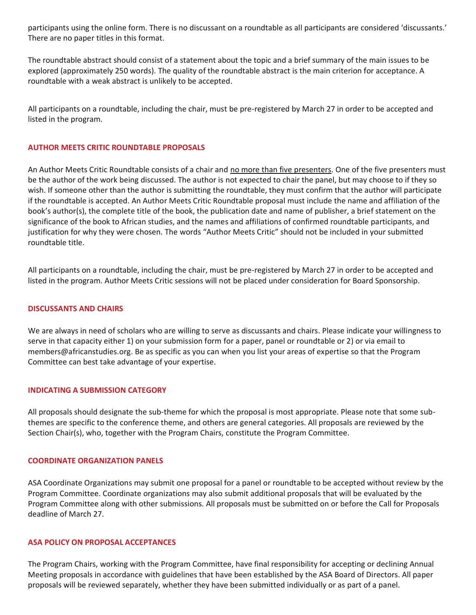participants using the online form. There is no discussant on a roundtable as all participants are considered 'discussants.' There are no paper titles in this format.

The roundtable abstract should consist of a statement about the topic and a brief summary of the main issues to be explored (approximately 250 words). The quality of the roundtable abstract is the main criterion for acceptance. A roundtable with a weak abstract is unlikely to be accepted.

All participants on a roundtable, including the chair, must be pre-registered by March 27 in order to be accepted and listed in the program.

# **AUTHOR MEETS CRITIC ROUNDTABLE PROPOSALS**

An Author Meets Critic Roundtable consists of a chair and no more than five presenters. One of the five presenters must be the author of the work being discussed. The author is not expected to chair the panel, but may choose to if they so wish. If someone other than the author is submitting the roundtable, they must confirm that the author will participate if the roundtable is accepted. An Author Meets Critic Roundtable proposal must include the name and affiliation of the book's author(s), the complete title of the book, the publication date and name of publisher, a brief statement on the significance of the book to African studies, and the names and affiliations of confirmed roundtable participants, and justification for why they were chosen. The words "Author Meets Critic" should not be included in your submitted roundtable title.

All participants on a roundtable, including the chair, must be pre-registered by March 27 in order to be accepted and listed in the program. Author Meets Critic sessions will not be placed under consideration for Board Sponsorship.

## **DISCUSSANTS AND CHAIRS**

We are always in need of scholars who are willing to serve as discussants and chairs. Please indicate your willingness to serve in that capacity either 1) on your submission form for a paper, panel or roundtable or 2) or via email to members@africanstudies.org. Be as specific as you can when you list your areas of expertise so that the Program Committee can best take advantage of your expertise.

## **INDICATING A SUBMISSION CATEGORY**

All proposals should designate the sub-theme for which the proposal is most appropriate. Please note that some subthemes are specific to the conference theme, and others are general categories. All proposals are reviewed by the Section Chair(s), who, together with the Program Chairs, constitute the Program Committee.

## **COORDINATE ORGANIZATION PANELS**

ASA Coordinate Organizations may submit one proposal for a panel or roundtable to be accepted without review by the Program Committee. Coordinate organizations may also submit additional proposals that will be evaluated by the Program Committee along with other submissions. All proposals must be submitted on or before the Call for Proposals deadline of March 27.

# **ASA POLICY ON PROPOSAL ACCEPTANCES**

The Program Chairs, working with the Program Committee, have final responsibility for accepting or declining Annual Meeting proposals in accordance with guidelines that have been established by the ASA Board of Directors. All paper proposals will be reviewed separately, whether they have been submitted individually or as part of a panel.